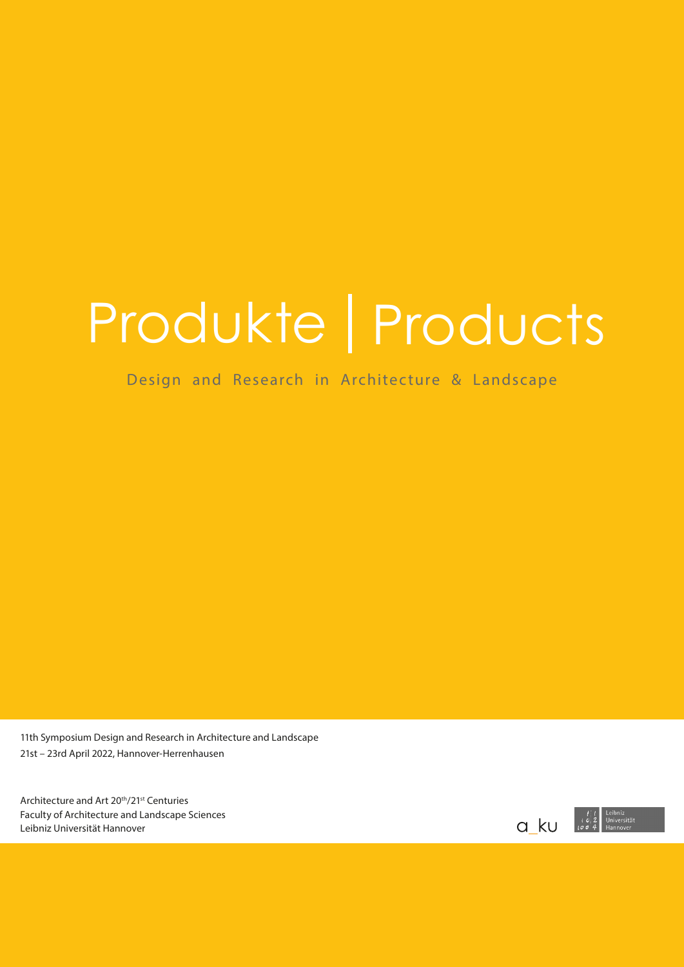# Produkte | Products

Design and Research in Architecture & Landscape

11th Symposium Design and Research in Architecture and Landscape 21st – 23rd April 2022, Hannover-Herrenhausen

Architecture and Art 20<sup>th</sup>/21<sup>st</sup> Centuries Faculty of Architecture and Landscape Sciences Leibniz Universität Hannover

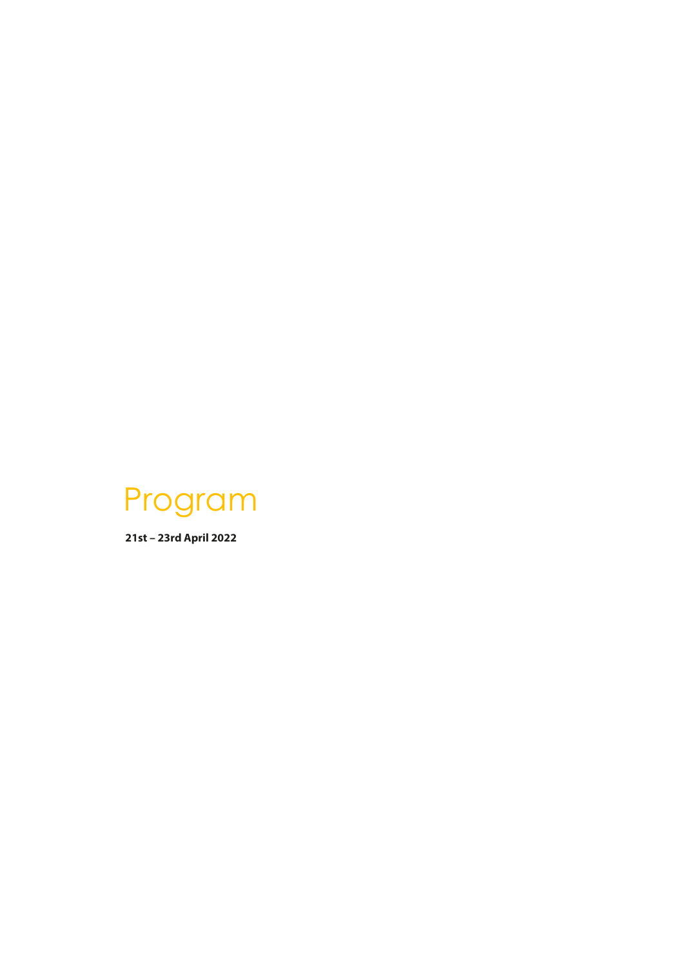

**21st – 23rd April 2022**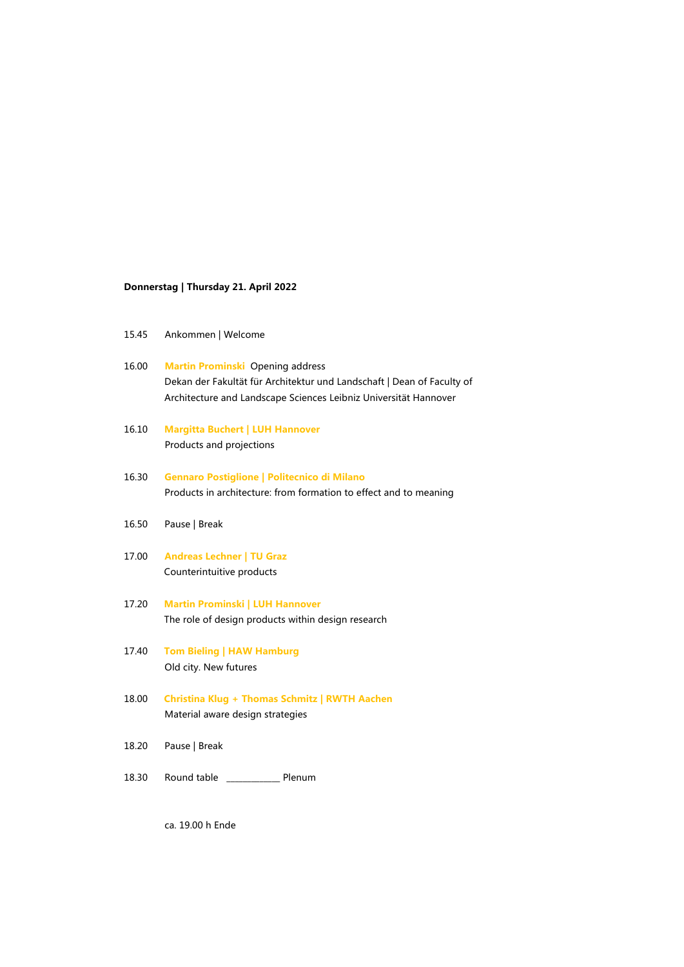### **Donnerstag | Thursday 21. April 2022**

- 16.00 **Martin Prominski** Opening address Dekan der Fakultät für Architektur und Landschaft | Dean of Faculty of Architecture and Landscape Sciences Leibniz Universität Hannover
- 16.10 **Margitta Buchert | LUH Hannover** Products and projections
- 16.30 **Gennaro Postiglione | Politecnico di Milano** Products in architecture: from formation to effect and to meaning
- 16.50 Pause | Break
- 17.00 **Andreas Lechner | TU Graz** Counterintuitive products
- 17.20 **Martin Prominski | LUH Hannover** The role of design products within design research
- 17.40 **Tom Bieling | HAW Hamburg** Old city. New futures
- 18.00 **Christina Klug + Thomas Schmitz | RWTH Aachen** Material aware design strategies
- 18.20 Pause | Break
- 18.30 Round table \_\_\_\_\_\_\_\_\_\_\_\_\_ Plenum

ca. 19.00 h Ende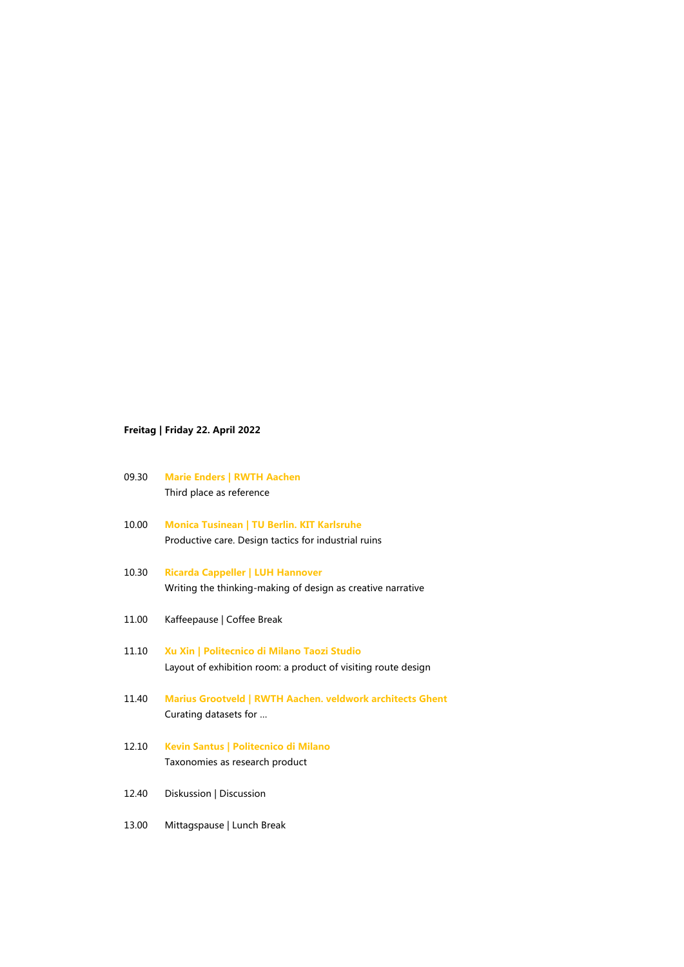## **Freitag | Friday 22. April 2022**

- 09.30 **Marie Enders | RWTH Aachen**  Third place as reference
- 10.00 **Monica Tusinean | TU Berlin. KIT Karlsruhe** Productive care. Design tactics for industrial ruins
- 10.30 **Ricarda Cappeller | LUH Hannover** Writing the thinking-making of design as creative narrative
- 11.00 Kaffeepause | Coffee Break
- 11.10 **Xu Xin | Politecnico di Milano Taozi Studio** Layout of exhibition room: a product of visiting route design
- 11.40 **Marius Grootveld | RWTH Aachen. veldwork architects Ghent** Curating datasets for …
- 12.10 **Kevin Santus | Politecnico di Milano** Taxonomies as research product
- 12.40 Diskussion | Discussion
- 13.00 Mittagspause | Lunch Break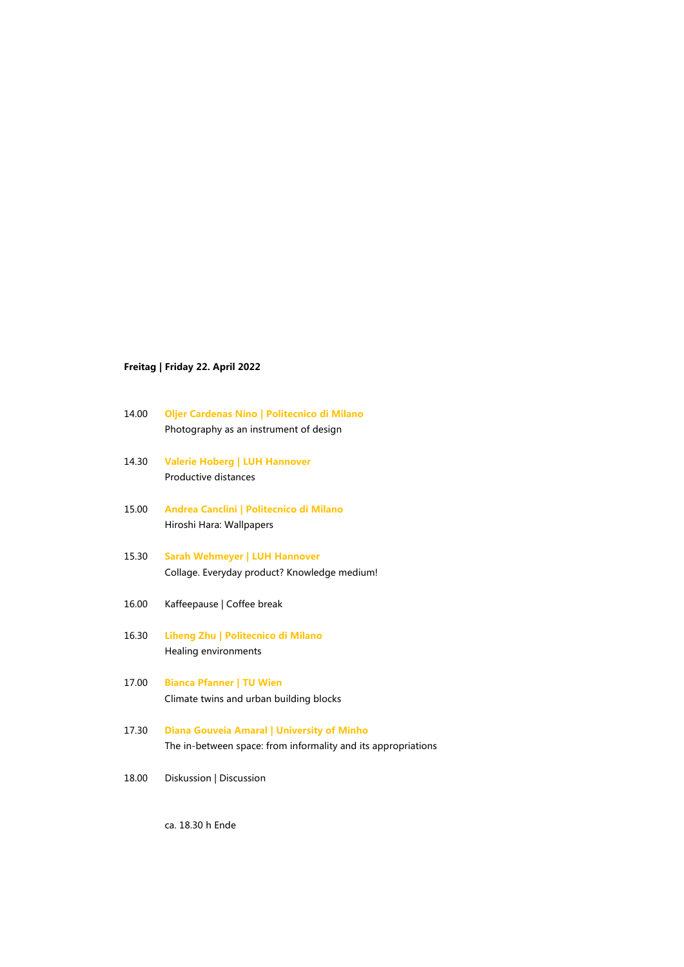## **Freitag | Friday 22. April 2022**

- 14.00 **Oljer Cardenas Nino | Politecnico di Milano** Photography as an instrument of design
- 14.30 **Valerie Hoberg | LUH Hannover** Productive distances
- 15.00 **Andrea Canclini | Politecnico di Milano** Hiroshi Hara: Wallpapers
- 15.30 **Sarah Wehmeyer | LUH Hannover**  Collage. Everyday product? Knowledge medium!
- 16.00 Kaffeepause | Coffee break
- 16.30 **Liheng Zhu | Politecnico di Milano**  Healing environments
- 17.00 **Bianca Pfanner | TU Wien** Climate twins and urban building blocks
- 17.30 **Diana Gouveia Amaral | University of Minho** The in-between space: from informality and its appropriations
- 18.00 Diskussion | Discussion

ca. 18.30 h Ende